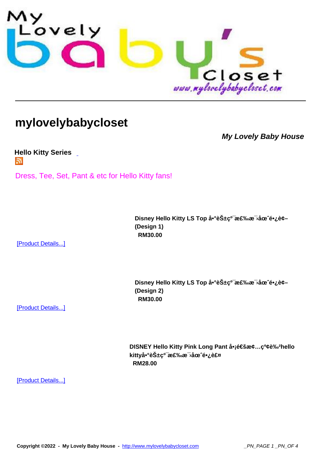

## **[mylovelybabycloset](http://www.mylovelybabycloset.com)**

**My Lovely Baby House**

**Hello Kitty Series**  Г.

[Dress, Tee, Set, Pa](index.php?option=com_virtuemart&page=shop.feed&category_id=48)nt & etc for Hello Kitty fans!

Disney Hello Kitty LS Top å<sup>•</sup>°èбc<sup>o-</sup>棉æ<sup>-</sup>>åœ^é•¿è¢-**(Design 1) RM30.00** 

[Product Details...]

Disney Hello Kitty LS Top å<sup>•</sup>°èбç<sup>o-</sup>棉æ<sup>-</sup>,åœ^é•¿è¢-**(Design 2) RM30.00** 

[Product Details...]

**DISNEY Hello Kitty Pink Long Pant å•j通æ¢...ç<sup>o</sup>¢è‰<sup>2</sup>hello** kitty啰花ç<sup>o−</sup>棉毛圈长裤  **RM28.00** 

[Product Details...]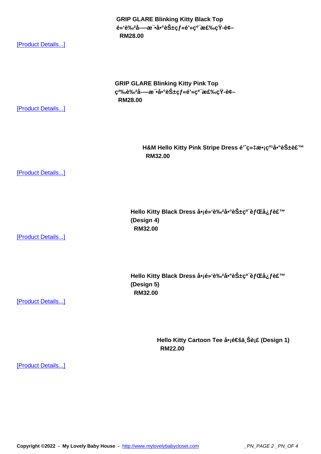e» e‱a-—æ•a• eS±ç*j* «e»ç• æ£‱ç r-e¢–  **RM28.00** 

[Product Details...]

**GRIP GLARE Blinking Kitty Pink Top** ç<sup>2%</sup>%è%2å-—æ<sup>-</sup>•啰花çf«é'»ç<sup>0-</sup>棉çŸ-è¢- **RM28.00** 

[Product Details...]

H&M Hello Kitty Pink Stripe Dress é'^织æ•¡ç<sup>o1</sup>啰花裙  **RM32.00** 

[Product Details...]

Hello Kitty Black Dress å•¡é»'è‰<sup>2</sup>啰花ç<sup>o-</sup>èfŒå¿f裙 **(Design 4) RM32.00** 

[Product Details...]

Hello Kitty Black Dress å•jé»'è‰<sup>2</sup>啰花ç<sup>o-</sup>èfŒå¿f裙 **(Design 5) RM32.00** 

[Product Details...]

Hello Kitty Cartoon Tee 啡通ä Šè¡£ (Design 1)  **RM22.00** 

[Product Details...]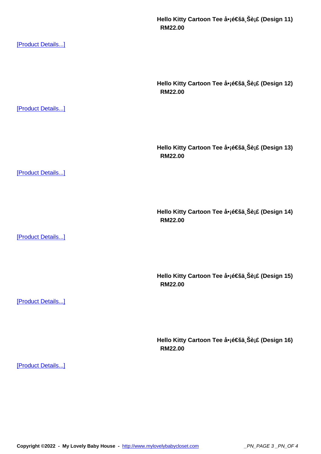[Product Details...]

Hello Kitty Cartoon Tee å•<sub>l</sub>通ä Šè<sub>i</sub>£ (Design 12)  **RM22.00**  [Product Details...] Hello Kitty Cartoon Tee 啡通ä<sub>,</sub>Šè¡£ (Design 13)  **RM22.00**  [Product Details...] Hello Kitty Cartoon Tee 啡通ä Šè¡£ (Design 14)  **RM22.00**  [Product Details...] Hello Kitty Cartoon Tee å•<sub>l</sub>通ä Šè<sub>i</sub>£ (Design 15)  **RM22.00**  [Product Details...] Hello Kitty Cartoon Tee 啡通ä Šè¡£ (Design 16)  **RM22.00**  [Product Details...]